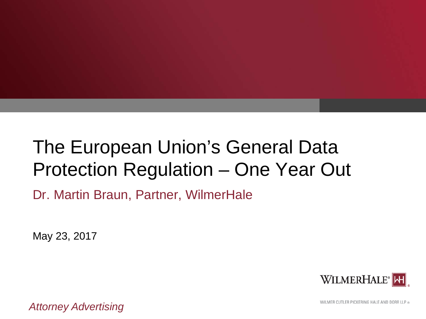# The European Union's General Data Protection Regulation – One Year Out

Dr. Martin Braun, Partner, WilmerHale

May 23, 2017



*Attorney Advertising*

WILMER CUTLER PICKERING HALE AND DORR LLP ®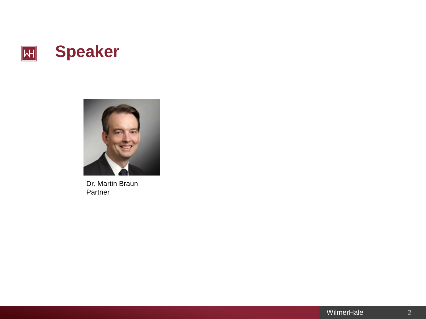



Dr. Martin Braun Partner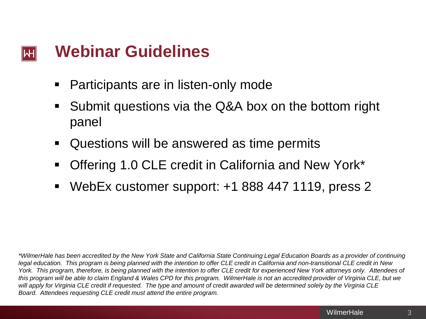#### **Webinar Guidelines** lWH

- Participants are in listen-only mode
- Submit questions via the Q&A box on the bottom right panel
- Questions will be answered as time permits
- Offering 1.0 CLE credit in California and New York\*
- WebEx customer support: +1 888 447 1119, press 2

*\*WilmerHale has been accredited by the New York State and California State Continuing Legal Education Boards as a provider of continuing legal education. This program is being planned with the intention to offer CLE credit in California and non-transitional CLE credit in New York. This program, therefore, is being planned with the intention to offer CLE credit for experienced New York attorneys only. Attendees of this program will be able to claim England & Wales CPD for this program. WilmerHale is not an accredited provider of Virginia CLE, but we will apply for Virginia CLE credit if requested. The type and amount of credit awarded will be determined solely by the Virginia CLE Board. Attendees requesting CLE credit must attend the entire program.*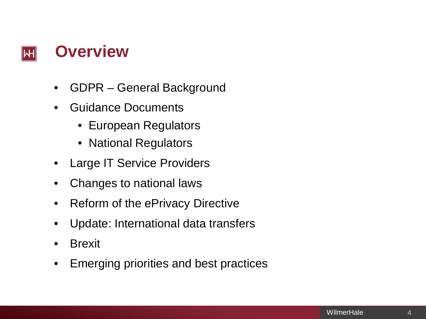

- GDPR General Background
- Guidance Documents
	- European Regulators
	- National Regulators
- **Large IT Service Providers**
- Changes to national laws
- Reform of the ePrivacy Directive
- Update: International data transfers
- **Brexit**
- Emerging priorities and best practices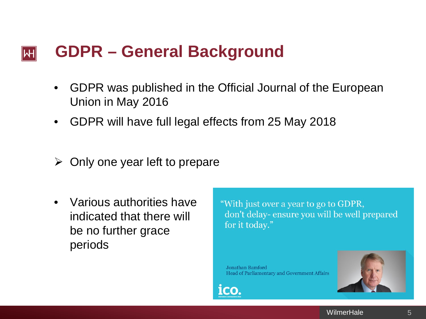#### **GDPR – General Background**  IWHI

- GDPR was published in the Official Journal of the European Union in May 2016
- GDPR will have full legal effects from 25 May 2018
- $\triangleright$  Only one year left to prepare
- Various authorities have indicated that there will be no further grace periods

"With just over a year to go to GDPR, don't delay- ensure you will be well prepared for it today."

Jonathan Bamford Head of Parliamentary and Government Affairs



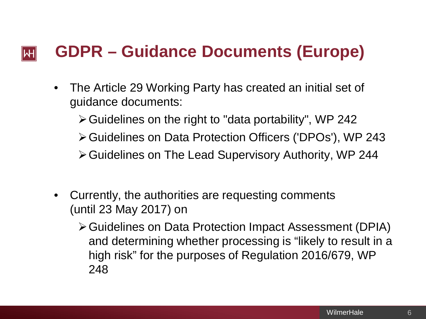# **GDPR – Guidance Documents (Europe)** lWH

- The Article 29 Working Party has created an initial set of guidance documents:
	- $\triangleright$  Guidelines on the right to "data portability", WP 242
	- Guidelines on Data Protection Officers ('DPOs'), WP 243
	- Guidelines on The Lead Supervisory Authority, WP 244
- Currently, the authorities are requesting comments (until 23 May 2017) on
	- Guidelines on Data Protection Impact Assessment (DPIA) and determining whether processing is "likely to result in a high risk" for the purposes of Regulation 2016/679, WP 248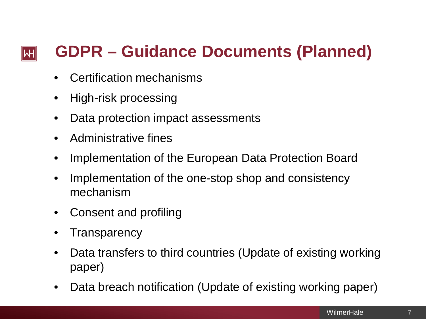# **GDPR – Guidance Documents (Planned)**  $|\mathsf{H}|$

- Certification mechanisms
- High-risk processing
- Data protection impact assessments
- Administrative fines
- Implementation of the European Data Protection Board
- Implementation of the one-stop shop and consistency mechanism
- Consent and profiling
- **Transparency**
- Data transfers to third countries (Update of existing working paper)
- Data breach notification (Update of existing working paper)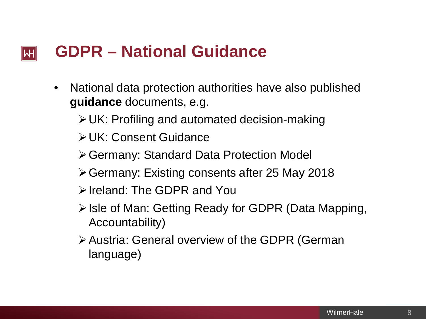#### **GDPR – National Guidance** IWH

- National data protection authorities have also published **guidance** documents, e.g.
	- UK: Profiling and automated decision-making
	- UK: Consent Guidance
	- Germany: Standard Data Protection Model
	- Germany: Existing consents after 25 May 2018
	- **E**> Ireland: The GDPR and You
	- **≻Isle of Man: Getting Ready for GDPR (Data Mapping,** Accountability)
	- Austria: General overview of the GDPR (German language)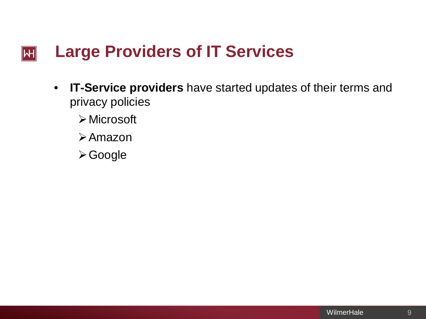## **Large Providers of IT Services**  $\left\| \mathsf{H} \right\|$

- **IT-Service providers** have started updates of their terms and privacy policies
	- Microsoft
	- Amazon
	- Google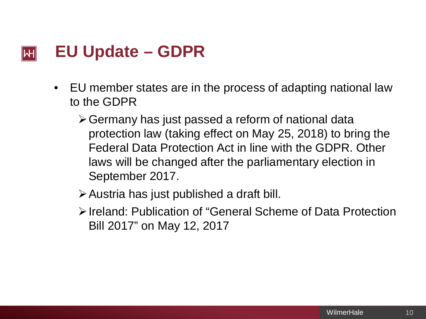#### **EU Update – GDPR**  lWI

- EU member states are in the process of adapting national law to the GDPR
	- Germany has just passed a reform of national data protection law (taking effect on May 25, 2018) to bring the Federal Data Protection Act in line with the GDPR. Other laws will be changed after the parliamentary election in September 2017.
	- $\triangleright$  Austria has just published a draft bill.
	- Ireland: Publication of "General Scheme of Data Protection Bill 2017" on May 12, 2017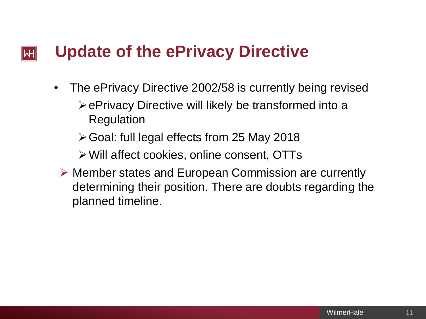# **Update of the ePrivacy Directive** IWH

- The ePrivacy Directive 2002/58 is currently being revised  $\triangleright$  ePrivacy Directive will likely be transformed into a Regulation
	- Goal: full legal effects from 25 May 2018
	- Will affect cookies, online consent, OTTs
	- Member states and European Commission are currently determining their position. There are doubts regarding the planned timeline.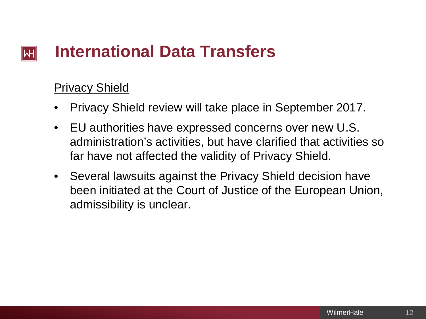## **International Data Transfers** lWH

# Privacy Shield

- Privacy Shield review will take place in September 2017.
- EU authorities have expressed concerns over new U.S. administration's activities, but have clarified that activities so far have not affected the validity of Privacy Shield.
- Several lawsuits against the Privacy Shield decision have been initiated at the Court of Justice of the European Union, admissibility is unclear.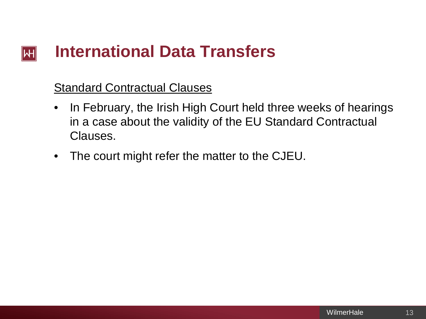## **International Data Transfers**  $\left\| \mathsf{H} \right\|$

# Standard Contractual Clauses

- In February, the Irish High Court held three weeks of hearings in a case about the validity of the EU Standard Contractual Clauses.
- The court might refer the matter to the CJEU.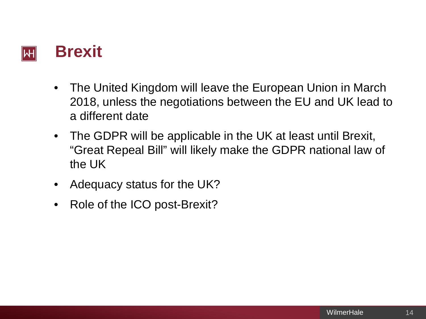## **Brexit** IWH

- The United Kingdom will leave the European Union in March 2018, unless the negotiations between the EU and UK lead to a different date
- The GDPR will be applicable in the UK at least until Brexit, "Great Repeal Bill" will likely make the GDPR national law of the UK
- Adequacy status for the UK?
- Role of the ICO post-Brexit?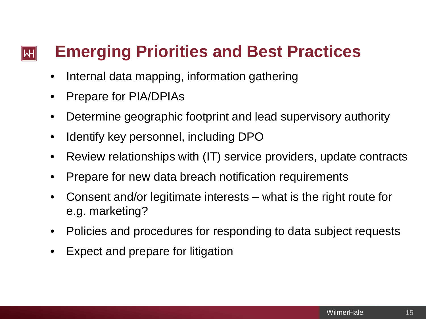# **Emerging Priorities and Best Practices**  $|\!|$ W $|\!|$

- Internal data mapping, information gathering
- Prepare for PIA/DPIAs
- Determine geographic footprint and lead supervisory authority
- Identify key personnel, including DPO
- Review relationships with (IT) service providers, update contracts
- Prepare for new data breach notification requirements
- Consent and/or legitimate interests what is the right route for e.g. marketing?
- Policies and procedures for responding to data subject requests
- Expect and prepare for litigation